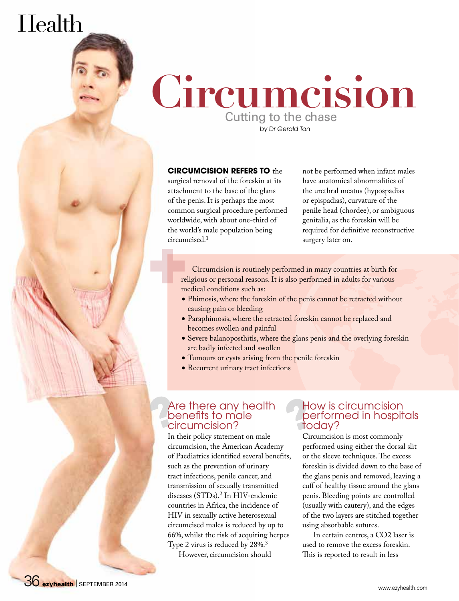# Health



#### **CIRCUMCISION REFERS TO** the

surgical removal of the foreskin at its attachment to the base of the glans of the penis. It is perhaps the most common surgical procedure performed worldwide, with about one-third of the world's male population being circumcised.1

not be performed when infant males have anatomical abnormalities of the urethral meatus (hypospadias or epispadias), curvature of the penile head (chordee), or ambiguous genitalia, as the foreskin will be required for definitive reconstructive surgery later on.

Circumcision is routinely performed in many countries at birth for religious or personal reasons. It is also performed in adults for various medical conditions such as:

- Phimosis, where the foreskin of the penis cannot be retracted without causing pain or bleeding
- Paraphimosis, where the retracted foreskin cannot be replaced and becomes swollen and painful
- Severe balanoposthitis, where the glans penis and the overlying foreskin are badly infected and swollen
- Tumours or cysts arising from the penile foreskin
- Recurrent urinary tract infections

#### Are there any health benefits to male circumcision?

In their policy statement on male circumcision, the American Academy of Paediatrics identified several benefits, such as the prevention of urinary tract infections, penile cancer, and transmission of sexually transmitted diseases (STDs).2 In HIV-endemic countries in Africa, the incidence of HIV in sexually active heterosexual circumcised males is reduced by up to 66%, whilst the risk of acquiring herpes Type 2 virus is reduced by 28%.<sup>3</sup>

However, circumcision should

#### How is circumcision performed in hospitals today?

Circumcision is most commonly performed using either the dorsal slit or the sleeve techniques. The excess foreskin is divided down to the base of the glans penis and removed, leaving a cuff of healthy tissue around the glans penis. Bleeding points are controlled (usually with cautery), and the edges of the two layers are stitched together using absorbable sutures.

In certain centres, a CO2 laser is used to remove the excess foreskin. This is reported to result in less